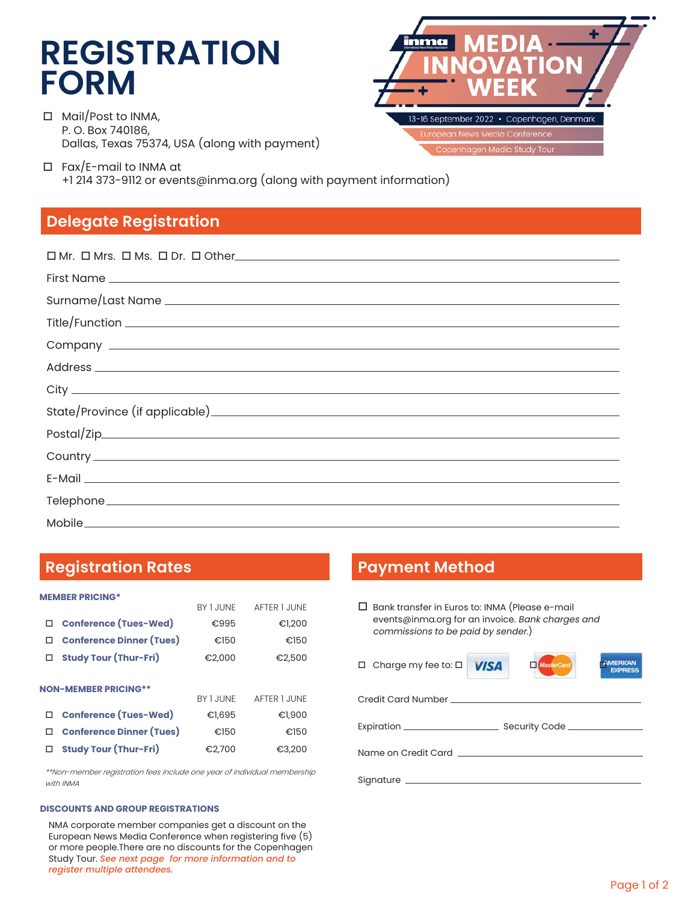# **REGISTRATION FORM**

 $\Box$  Mail/Post to INMA, P. O. Box 740186, Dallas, Texas 75374, USA (along with payment)



 $\Box$  Fax/E-mail to INMA at +1 214 373-9112 or events@inma.org (along with payment information)

# **Delegate Registration**

| $\Box$ Mr. $\Box$ Mrs. $\Box$ Ms. $\Box$ Dr. $\Box$ Other $\Box$ Dr. $\Box$ Other $\Box$ Dr. $\Box$ Dr. $\Box$ Other $\Box$ Dr. $\Box$ Dr. $\Box$ Other $\Box$ Dr. $\Box$ Dr. $\Box$ Dr. $\Box$ Dr. $\Box$ Dr. $\Box$ Dr. $\Box$ Dr. $\Box$ Dr. $\Box$ Dr. $\Box$ Dr. $\Box$ |
|------------------------------------------------------------------------------------------------------------------------------------------------------------------------------------------------------------------------------------------------------------------------------|
|                                                                                                                                                                                                                                                                              |
|                                                                                                                                                                                                                                                                              |
|                                                                                                                                                                                                                                                                              |
|                                                                                                                                                                                                                                                                              |
|                                                                                                                                                                                                                                                                              |
|                                                                                                                                                                                                                                                                              |
|                                                                                                                                                                                                                                                                              |
|                                                                                                                                                                                                                                                                              |
|                                                                                                                                                                                                                                                                              |
|                                                                                                                                                                                                                                                                              |
|                                                                                                                                                                                                                                                                              |
|                                                                                                                                                                                                                                                                              |

# **Registration Rates**

#### **MEMBER PRICING\***

|                             |                                 | BY 1 JUNE        | AFTER 1 JUNE |  |
|-----------------------------|---------------------------------|------------------|--------------|--|
|                             | □ Conference (Tues-Wed)         | €995             | €1,200       |  |
| □                           | <b>Conference Dinner (Tues)</b> | €150             | €150         |  |
|                             | <b>Study Tour (Thur-Fri)</b>    | €2,000           | €2,500       |  |
| <b>NON-MEMBER PRICING**</b> |                                 |                  |              |  |
|                             |                                 | <b>BY 1.JUNE</b> | AFTER 1.JUNF |  |
|                             | □ Conference (Tues-Wed)         | €1,695           | €1,900       |  |
| □                           | <b>Conference Dinner (Tues)</b> | €150             | €150         |  |
|                             |                                 |                  |              |  |
|                             | <b>Study Tour (Thur-Fri)</b>    | €2,700           | €3,200       |  |

*\*\*Non-member registration fees include one year of individual membership with INMA*

#### **DISCOUNTS AND GROUP REGISTRATIONS**

NMA corporate member companies get a discount on the European News Media Conference when registering five (5) or more people.There are no discounts for the Copenhagen Study Tour. *See next page for more information and to register multiple attendees.*

# **Payment Method**

 $\square$  Bank transfer in Euros to: INMA (Please e-mail events@inma.org for an invoice. Bank charges and commissions to be paid by sender.)

 $\square$  Charge my fee to:  $\square$  **VISA**  $\square$  *Mastercard*  $\square$  MERICAN Credit Card Number Expiration Security Code Name on Credit Card Signature \_